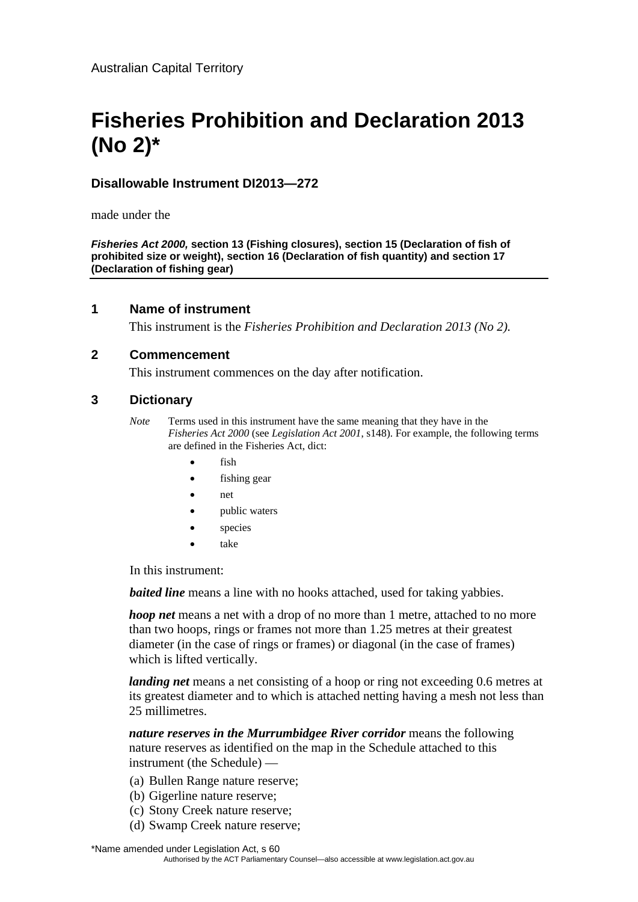# **Fisheries Prohibition and Declaration 2013 (No 2)\***

## **Disallowable Instrument DI2013—272**

made under the

*Fisheries Act 2000,* **section 13 (Fishing closures), section 15 (Declaration of fish of prohibited size or weight), section 16 (Declaration of fish quantity) and section 17 (Declaration of fishing gear)**

#### **1 Name of instrument**

This instrument is the *Fisheries Prohibition and Declaration 2013 (No 2).*

#### **2 Commencement**

This instrument commences on the day after notification.

#### **3 Dictionary**

- *Note* Terms used in this instrument have the same meaning that they have in the *Fisheries Act 2000* (see *Legislation Act 2001*, s148). For example, the following terms are defined in the Fisheries Act, dict:
	- fish
	- fishing gear
	- net
	- public waters
	- species
	- take

In this instrument:

*baited line* means a line with no hooks attached, used for taking vabbies.

*hoop net* means a net with a drop of no more than 1 metre, attached to no more than two hoops, rings or frames not more than 1.25 metres at their greatest diameter (in the case of rings or frames) or diagonal (in the case of frames) which is lifted vertically.

*landing net* means a net consisting of a hoop or ring not exceeding 0.6 metres at its greatest diameter and to which is attached netting having a mesh not less than 25 millimetres.

*nature reserves in the Murrumbidgee River corridor* means the following nature reserves as identified on the map in the Schedule attached to this instrument (the Schedule) —

- (a) Bullen Range nature reserve;
- (b) Gigerline nature reserve;
- (c) Stony Creek nature reserve;
- (d) Swamp Creek nature reserve;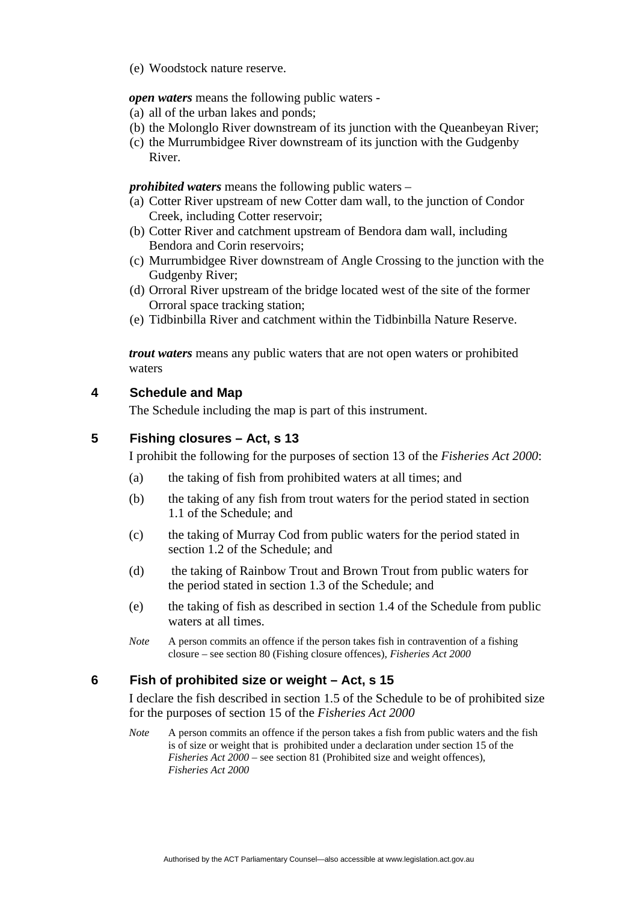(e) Woodstock nature reserve.

*open waters* means the following public waters -

- (a) all of the urban lakes and ponds;
- (b) the Molonglo River downstream of its junction with the Queanbeyan River;
- (c) the Murrumbidgee River downstream of its junction with the Gudgenby River.

*prohibited waters* means the following public waters –

- (a) Cotter River upstream of new Cotter dam wall, to the junction of Condor Creek, including Cotter reservoir;
- (b) Cotter River and catchment upstream of Bendora dam wall, including Bendora and Corin reservoirs;
- (c) Murrumbidgee River downstream of Angle Crossing to the junction with the Gudgenby River;
- (d) Orroral River upstream of the bridge located west of the site of the former Orroral space tracking station;
- (e) Tidbinbilla River and catchment within the Tidbinbilla Nature Reserve.

*trout waters* means any public waters that are not open waters or prohibited waters

#### **4 Schedule and Map**

The Schedule including the map is part of this instrument.

#### **5 Fishing closures – Act, s 13**

I prohibit the following for the purposes of section 13 of the *Fisheries Act 2000*:

- (a) the taking of fish from prohibited waters at all times; and
- (b) the taking of any fish from trout waters for the period stated in section 1.1 of the Schedule; and
- (c) the taking of Murray Cod from public waters for the period stated in section 1.2 of the Schedule; and
- (d) the taking of Rainbow Trout and Brown Trout from public waters for the period stated in section 1.3 of the Schedule; and
- (e) the taking of fish as described in section 1.4 of the Schedule from public waters at all times.
- *Note* A person commits an offence if the person takes fish in contravention of a fishing closure – see section 80 (Fishing closure offences), *Fisheries Act 2000*

#### **6 Fish of prohibited size or weight – Act, s 15**

I declare the fish described in section 1.5 of the Schedule to be of prohibited size for the purposes of section 15 of the *Fisheries Act 2000*

*Note* A person commits an offence if the person takes a fish from public waters and the fish is of size or weight that is prohibited under a declaration under section 15 of the *Fisheries Act 2000* – see section 81 (Prohibited size and weight offences), *Fisheries Act 2000*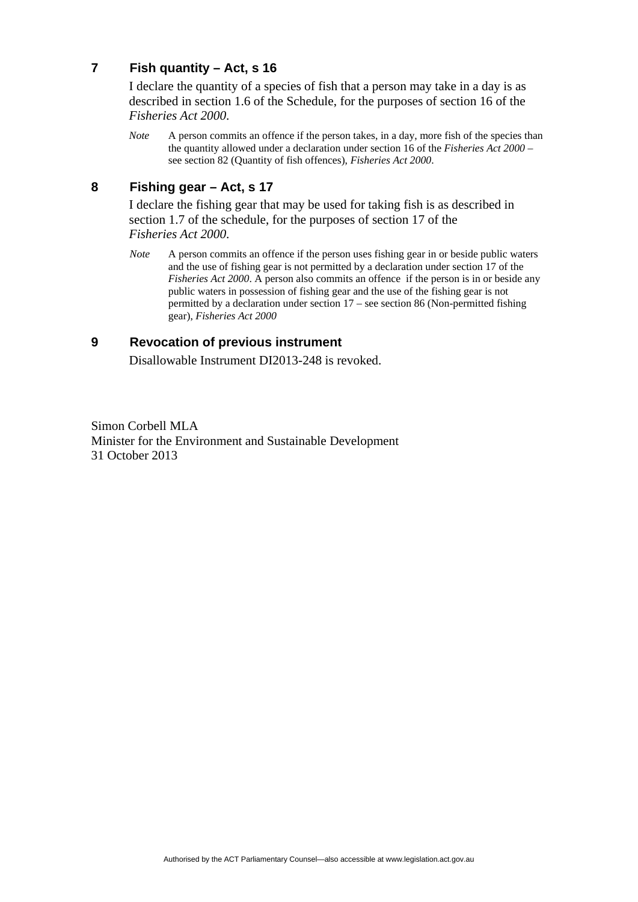# **7 Fish quantity – Act, s 16**

I declare the quantity of a species of fish that a person may take in a day is as described in section 1.6 of the Schedule, for the purposes of section 16 of the *Fisheries Act 2000*.

*Note* A person commits an offence if the person takes, in a day, more fish of the species than the quantity allowed under a declaration under section 16 of the *Fisheries Act 2000* – see section 82 (Quantity of fish offences), *Fisheries Act 2000*.

## **8 Fishing gear – Act, s 17**

I declare the fishing gear that may be used for taking fish is as described in section 1.7 of the schedule, for the purposes of section 17 of the *Fisheries Act 2000*.

*Note* A person commits an offence if the person uses fishing gear in or beside public waters and the use of fishing gear is not permitted by a declaration under section 17 of the *Fisheries Act 2000.* A person also commits an offence if the person is in or beside any public waters in possession of fishing gear and the use of the fishing gear is not permitted by a declaration under section 17 – see section 86 (Non-permitted fishing gear), *Fisheries Act 2000*

#### **9 Revocation of previous instrument**

Disallowable Instrument DI2013-248 is revoked.

Simon Corbell MLA Minister for the Environment and Sustainable Development 31 October 2013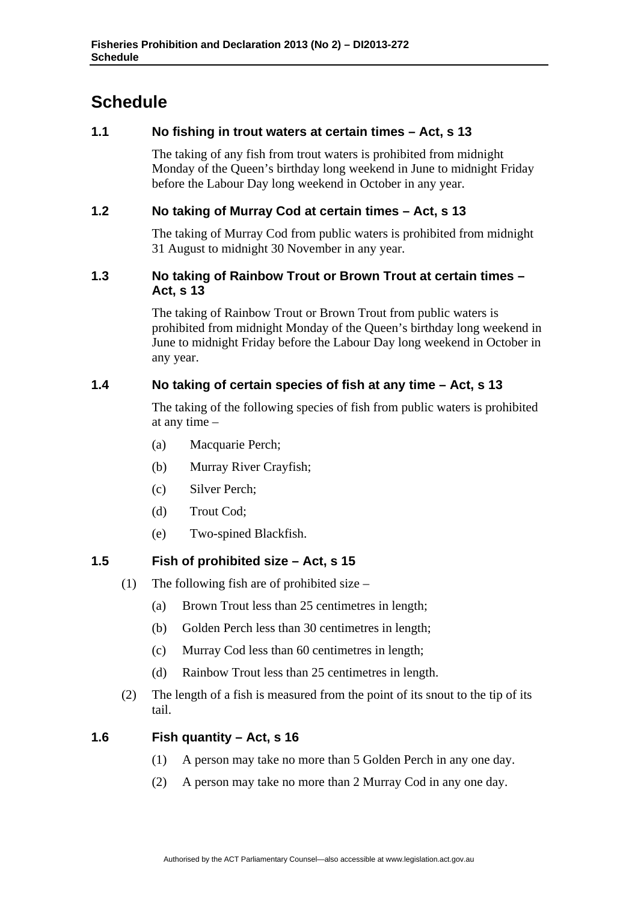# **Schedule**

# **1.1 No fishing in trout waters at certain times – Act, s 13**

The taking of any fish from trout waters is prohibited from midnight Monday of the Queen's birthday long weekend in June to midnight Friday before the Labour Day long weekend in October in any year.

# **1.2 No taking of Murray Cod at certain times – Act, s 13**

The taking of Murray Cod from public waters is prohibited from midnight 31 August to midnight 30 November in any year.

#### **1.3 No taking of Rainbow Trout or Brown Trout at certain times – Act, s 13**

The taking of Rainbow Trout or Brown Trout from public waters is prohibited from midnight Monday of the Queen's birthday long weekend in June to midnight Friday before the Labour Day long weekend in October in any year.

# **1.4 No taking of certain species of fish at any time – Act, s 13**

The taking of the following species of fish from public waters is prohibited at any time –

- (a) Macquarie Perch;
- (b) Murray River Crayfish;
- (c) Silver Perch;
- (d) Trout Cod;
- (e) Two-spined Blackfish.

#### **1.5 Fish of prohibited size – Act, s 15**

- (1) The following fish are of prohibited size
	- (a) Brown Trout less than 25 centimetres in length;
	- (b) Golden Perch less than 30 centimetres in length;
	- (c) Murray Cod less than 60 centimetres in length;
	- (d) Rainbow Trout less than 25 centimetres in length.
- (2) The length of a fish is measured from the point of its snout to the tip of its tail.

#### **1.6 Fish quantity – Act, s 16**

- (1) A person may take no more than 5 Golden Perch in any one day.
- (2) A person may take no more than 2 Murray Cod in any one day.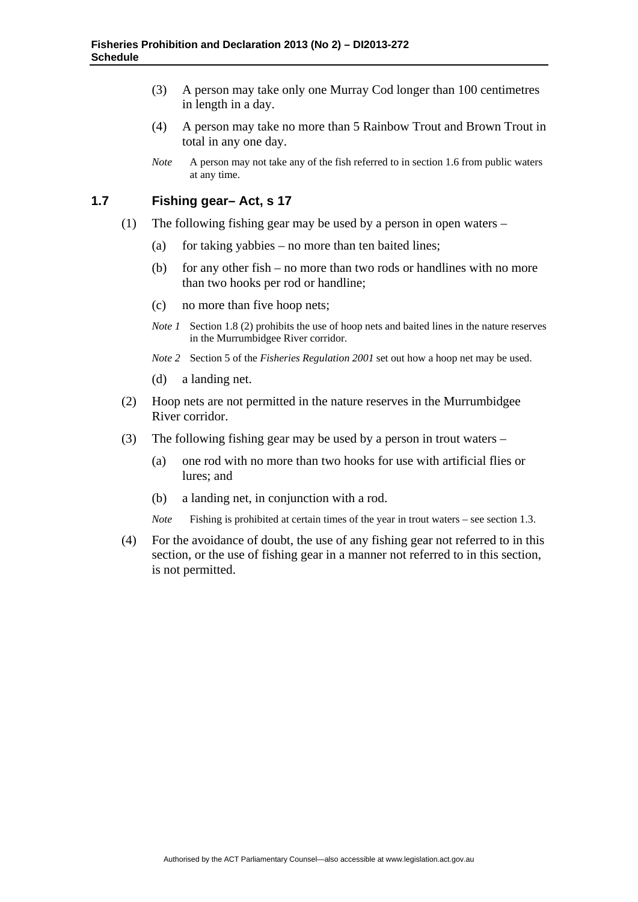- (3) A person may take only one Murray Cod longer than 100 centimetres in length in a day.
- (4) A person may take no more than 5 Rainbow Trout and Brown Trout in total in any one day.
- *Note* A person may not take any of the fish referred to in section 1.6 from public waters at any time.

#### **1.7 Fishing gear– Act, s 17**

- (1) The following fishing gear may be used by a person in open waters
	- (a) for taking yabbies no more than ten baited lines;
	- (b) for any other fish no more than two rods or handlines with no more than two hooks per rod or handline;
	- (c) no more than five hoop nets;
	- *Note 1* Section 1.8 (2) prohibits the use of hoop nets and baited lines in the nature reserves in the Murrumbidgee River corridor.
	- *Note 2* Section 5 of the *Fisheries Regulation 2001* set out how a hoop net may be used.
	- (d) a landing net.
- (2) Hoop nets are not permitted in the nature reserves in the Murrumbidgee River corridor.
- (3) The following fishing gear may be used by a person in trout waters
	- (a) one rod with no more than two hooks for use with artificial flies or lures; and
	- (b) a landing net, in conjunction with a rod.
	- *Note* Fishing is prohibited at certain times of the year in trout waters see section 1.3.
- (4) For the avoidance of doubt, the use of any fishing gear not referred to in this section, or the use of fishing gear in a manner not referred to in this section, is not permitted.